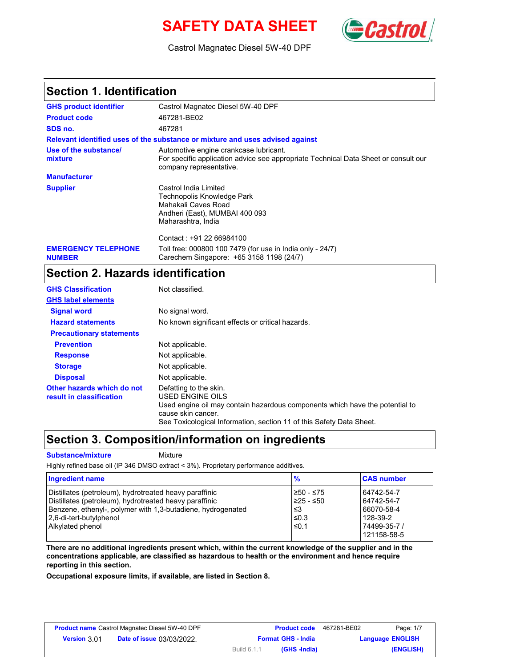# SAFETY DATA SHEET **SAFETY**



Castrol Magnatec Diesel 5W-40 DPF

#### **Section 1. Identification**

| <b>GHS product identifier</b>               | Castrol Magnatec Diesel 5W-40 DPF                                                                                                                        |
|---------------------------------------------|----------------------------------------------------------------------------------------------------------------------------------------------------------|
| <b>Product code</b>                         | 467281-BE02                                                                                                                                              |
| SDS no.                                     | 467281                                                                                                                                                   |
|                                             | Relevant identified uses of the substance or mixture and uses advised against                                                                            |
| Use of the substance/<br>mixture            | Automotive engine crankcase lubricant.<br>For specific application advice see appropriate Technical Data Sheet or consult our<br>company representative. |
| <b>Manufacturer</b>                         |                                                                                                                                                          |
| <b>Supplier</b>                             | Castrol India Limited<br>Technopolis Knowledge Park<br>Mahakali Caves Road<br>Andheri (East), MUMBAI 400 093<br>Maharashtra, India                       |
|                                             | Contact: +91 22 66984100                                                                                                                                 |
| <b>EMERGENCY TELEPHONE</b><br><b>NUMBER</b> | Toll free: 000800 100 7479 (for use in India only - 24/7)<br>Carechem Singapore: +65 3158 1198 (24/7)                                                    |

## **Section 2. Hazards identification**

| <b>GHS Classification</b>                              | Not classified.                                                                                                                                                                                                          |
|--------------------------------------------------------|--------------------------------------------------------------------------------------------------------------------------------------------------------------------------------------------------------------------------|
| <b>GHS label elements</b>                              |                                                                                                                                                                                                                          |
| <b>Signal word</b>                                     | No signal word.                                                                                                                                                                                                          |
| <b>Hazard statements</b>                               | No known significant effects or critical hazards.                                                                                                                                                                        |
| <b>Precautionary statements</b>                        |                                                                                                                                                                                                                          |
| <b>Prevention</b>                                      | Not applicable.                                                                                                                                                                                                          |
| <b>Response</b>                                        | Not applicable.                                                                                                                                                                                                          |
| <b>Storage</b>                                         | Not applicable.                                                                                                                                                                                                          |
| <b>Disposal</b>                                        | Not applicable.                                                                                                                                                                                                          |
| Other hazards which do not<br>result in classification | Defatting to the skin.<br>USED ENGINE OILS<br>Used engine oil may contain hazardous components which have the potential to<br>cause skin cancer.<br>See Toxicological Information, section 11 of this Safety Data Sheet. |

### **Section 3. Composition/information on ingredients**

**Substance/mixture Mixture** 

Highly refined base oil (IP 346 DMSO extract < 3%). Proprietary performance additives.

| Ingredient name                                                                                                                                                                 | $\frac{9}{6}$             | <b>CAS number</b>                      |
|---------------------------------------------------------------------------------------------------------------------------------------------------------------------------------|---------------------------|----------------------------------------|
| Distillates (petroleum), hydrotreated heavy paraffinic<br>Distillates (petroleum), hydrotreated heavy paraffinic<br>Benzene, ethenyl-, polymer with 1,3-butadiene, hydrogenated | 1≥50 - ≤75<br>$≥25 - ≤50$ | 64742-54-7<br>64742-54-7<br>66070-58-4 |
| 2,6-di-tert-butylphenol<br>Alkylated phenol                                                                                                                                     | ≤3<br>≤0.3<br>≤0.1        | 128-39-2<br>74499-35-7 /               |
|                                                                                                                                                                                 |                           | 121158-58-5                            |

**There are no additional ingredients present which, within the current knowledge of the supplier and in the concentrations applicable, are classified as hazardous to health or the environment and hence require reporting in this section.**

**Occupational exposure limits, if available, are listed in Section 8.**

| Page: 1/7               | 467281-BE02 | <b>Product code</b>       |             | <b>Product name</b> Castrol Magnatec Diesel 5W-40 DPF |                     |
|-------------------------|-------------|---------------------------|-------------|-------------------------------------------------------|---------------------|
| <b>Language ENGLISH</b> |             | <b>Format GHS - India</b> |             | <b>Date of issue 03/03/2022.</b>                      | <b>Version 3.01</b> |
| (ENGLISH)               |             | (GHS -India)              | Build 6.1.1 |                                                       |                     |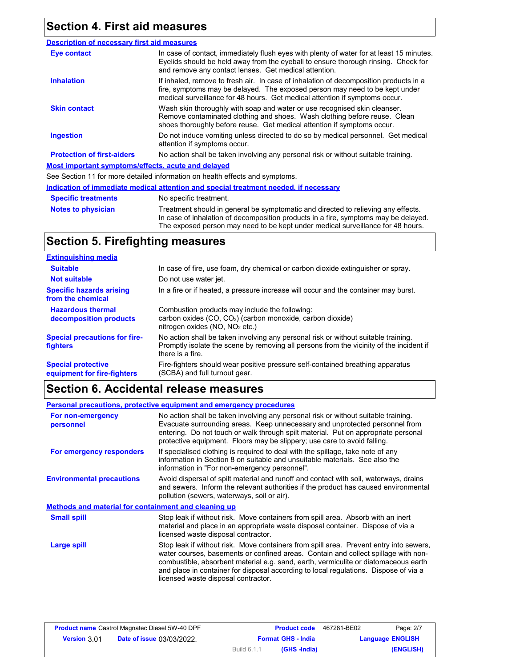## **Section 4. First aid measures**

| <b>Description of necessary first aid measures</b>        |                                                                                                                                                                                                                                                     |
|-----------------------------------------------------------|-----------------------------------------------------------------------------------------------------------------------------------------------------------------------------------------------------------------------------------------------------|
| Eye contact                                               | In case of contact, immediately flush eyes with plenty of water for at least 15 minutes.<br>Eyelids should be held away from the eyeball to ensure thorough rinsing. Check for<br>and remove any contact lenses. Get medical attention.             |
| <b>Inhalation</b>                                         | If inhaled, remove to fresh air. In case of inhalation of decomposition products in a<br>fire, symptoms may be delayed. The exposed person may need to be kept under<br>medical surveillance for 48 hours. Get medical attention if symptoms occur. |
| <b>Skin contact</b>                                       | Wash skin thoroughly with soap and water or use recognised skin cleanser.<br>Remove contaminated clothing and shoes. Wash clothing before reuse. Clean<br>shoes thoroughly before reuse. Get medical attention if symptoms occur.                   |
| <b>Ingestion</b>                                          | Do not induce vomiting unless directed to do so by medical personnel. Get medical<br>attention if symptoms occur.                                                                                                                                   |
| <b>Protection of first-aiders</b>                         | No action shall be taken involving any personal risk or without suitable training.                                                                                                                                                                  |
| <u>Most important symptoms/effects, acute and delayed</u> |                                                                                                                                                                                                                                                     |
|                                                           | See Section 11 for more detailed information on health effects and symptoms.                                                                                                                                                                        |
|                                                           | Indication of immediate medical attention and special treatment needed, if necessary                                                                                                                                                                |
| <b>Specific treatments</b>                                | No specific treatment.                                                                                                                                                                                                                              |
| <b>Notes to physician</b>                                 | Treatment should in general be symptomatic and directed to relieving any effects.<br>In case of inhalation of decomposition products in a fire, symptoms may be delayed.                                                                            |

The exposed person may need to be kept under medical surveillance for 48 hours.

## **Section 5. Firefighting measures**

| <b>Extinguishing media</b>                               |                                                                                                                                                                                                   |
|----------------------------------------------------------|---------------------------------------------------------------------------------------------------------------------------------------------------------------------------------------------------|
| <b>Suitable</b>                                          | In case of fire, use foam, dry chemical or carbon dioxide extinguisher or spray.                                                                                                                  |
| <b>Not suitable</b>                                      | Do not use water jet.                                                                                                                                                                             |
| <b>Specific hazards arising</b><br>from the chemical     | In a fire or if heated, a pressure increase will occur and the container may burst.                                                                                                               |
| <b>Hazardous thermal</b><br>decomposition products       | Combustion products may include the following:<br>carbon oxides (CO, CO <sub>2</sub> ) (carbon monoxide, carbon dioxide)<br>nitrogen oxides ( $NO$ , $NO2$ etc.)                                  |
| <b>Special precautions for fire-</b><br>fighters         | No action shall be taken involving any personal risk or without suitable training.<br>Promptly isolate the scene by removing all persons from the vicinity of the incident if<br>there is a fire. |
| <b>Special protective</b><br>equipment for fire-fighters | Fire-fighters should wear positive pressure self-contained breathing apparatus<br>(SCBA) and full turnout gear.                                                                                   |

## **Section 6. Accidental release measures**

|                                                      | Personal precautions, protective equipment and emergency procedures                                                                                                                                                                                                                                                                                                                                |
|------------------------------------------------------|----------------------------------------------------------------------------------------------------------------------------------------------------------------------------------------------------------------------------------------------------------------------------------------------------------------------------------------------------------------------------------------------------|
| For non-emergency<br>personnel                       | No action shall be taken involving any personal risk or without suitable training.<br>Evacuate surrounding areas. Keep unnecessary and unprotected personnel from<br>entering. Do not touch or walk through spilt material. Put on appropriate personal<br>protective equipment. Floors may be slippery; use care to avoid falling.                                                                |
| For emergency responders                             | If specialised clothing is required to deal with the spillage, take note of any<br>information in Section 8 on suitable and unsuitable materials. See also the<br>information in "For non-emergency personnel".                                                                                                                                                                                    |
| <b>Environmental precautions</b>                     | Avoid dispersal of spilt material and runoff and contact with soil, waterways, drains<br>and sewers. Inform the relevant authorities if the product has caused environmental<br>pollution (sewers, waterways, soil or air).                                                                                                                                                                        |
| Methods and material for containment and cleaning up |                                                                                                                                                                                                                                                                                                                                                                                                    |
| <b>Small spill</b>                                   | Stop leak if without risk. Move containers from spill area. Absorb with an inert<br>material and place in an appropriate waste disposal container. Dispose of via a<br>licensed waste disposal contractor.                                                                                                                                                                                         |
| Large spill                                          | Stop leak if without risk. Move containers from spill area. Prevent entry into sewers,<br>water courses, basements or confined areas. Contain and collect spillage with non-<br>combustible, absorbent material e.g. sand, earth, vermiculite or diatomaceous earth<br>and place in container for disposal according to local regulations. Dispose of via a<br>licensed waste disposal contractor. |

| <b>Product name</b> Castrol Magnatec Diesel 5W-40 DPF |                                  |                           | <b>Product code</b> | 467281-BE02 | Page: 2/7               |
|-------------------------------------------------------|----------------------------------|---------------------------|---------------------|-------------|-------------------------|
| <b>Version 3.01</b>                                   | <b>Date of issue 03/03/2022.</b> | <b>Format GHS - India</b> |                     |             | <b>Language ENGLISH</b> |
|                                                       |                                  | Build 6.1.1               | (GHS -India)        |             | (ENGLISH)               |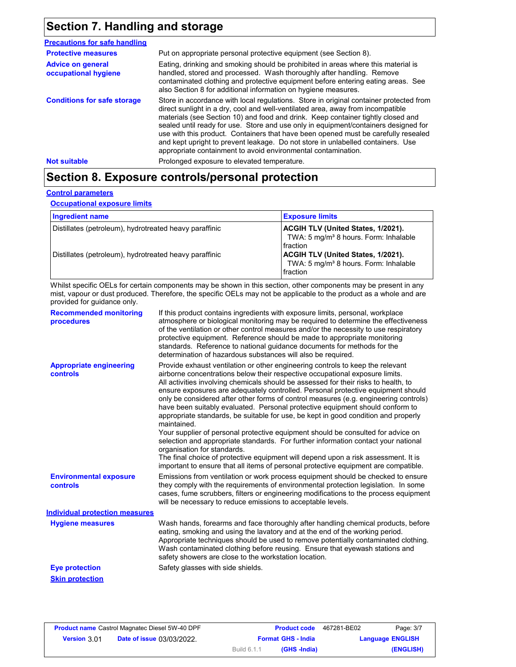## **Section 7. Handling and storage**

| <b>Precautions for safe handling</b>             |                                                                                                                                                                                                                                                                                                                                                                                                                                                                                                                                                                                                |
|--------------------------------------------------|------------------------------------------------------------------------------------------------------------------------------------------------------------------------------------------------------------------------------------------------------------------------------------------------------------------------------------------------------------------------------------------------------------------------------------------------------------------------------------------------------------------------------------------------------------------------------------------------|
| <b>Protective measures</b>                       | Put on appropriate personal protective equipment (see Section 8).                                                                                                                                                                                                                                                                                                                                                                                                                                                                                                                              |
| <b>Advice on general</b><br>occupational hygiene | Eating, drinking and smoking should be prohibited in areas where this material is<br>handled, stored and processed. Wash thoroughly after handling. Remove<br>contaminated clothing and protective equipment before entering eating areas. See<br>also Section 8 for additional information on hygiene measures.                                                                                                                                                                                                                                                                               |
| <b>Conditions for safe storage</b>               | Store in accordance with local regulations. Store in original container protected from<br>direct sunlight in a dry, cool and well-ventilated area, away from incompatible<br>materials (see Section 10) and food and drink. Keep container tightly closed and<br>sealed until ready for use. Store and use only in equipment/containers designed for<br>use with this product. Containers that have been opened must be carefully resealed<br>and kept upright to prevent leakage. Do not store in unlabelled containers. Use<br>appropriate containment to avoid environmental contamination. |
| <b>Not suitable</b>                              | Prolonged exposure to elevated temperature.                                                                                                                                                                                                                                                                                                                                                                                                                                                                                                                                                    |

## **Section 8. Exposure controls/personal protection**

#### **Control parameters**

**Occupational exposure limits**

| <b>Ingredient name</b>                                 | <b>Exposure limits</b>                                                                                     |
|--------------------------------------------------------|------------------------------------------------------------------------------------------------------------|
| Distillates (petroleum), hydrotreated heavy paraffinic | ACGIH TLV (United States, 1/2021).<br>TWA: 5 mg/m <sup>3</sup> 8 hours. Form: Inhalable<br>fraction        |
| Distillates (petroleum), hydrotreated heavy paraffinic | <b>ACGIH TLV (United States, 1/2021).</b><br>TWA: 5 mg/m <sup>3</sup> 8 hours. Form: Inhalable<br>fraction |

Whilst specific OELs for certain components may be shown in this section, other components may be present in any mist, vapour or dust produced. Therefore, the specific OELs may not be applicable to the product as a whole and are provided for guidance only.

| <b>Recommended monitoring</b><br>procedures | If this product contains ingredients with exposure limits, personal, workplace<br>atmosphere or biological monitoring may be required to determine the effectiveness<br>of the ventilation or other control measures and/or the necessity to use respiratory<br>protective equipment. Reference should be made to appropriate monitoring<br>standards. Reference to national guidance documents for methods for the<br>determination of hazardous substances will also be required.                                                                                                                                                                                                                                                                                                                                                                                                                                                                                                                           |
|---------------------------------------------|---------------------------------------------------------------------------------------------------------------------------------------------------------------------------------------------------------------------------------------------------------------------------------------------------------------------------------------------------------------------------------------------------------------------------------------------------------------------------------------------------------------------------------------------------------------------------------------------------------------------------------------------------------------------------------------------------------------------------------------------------------------------------------------------------------------------------------------------------------------------------------------------------------------------------------------------------------------------------------------------------------------|
| <b>Appropriate engineering</b><br>controls  | Provide exhaust ventilation or other engineering controls to keep the relevant<br>airborne concentrations below their respective occupational exposure limits.<br>All activities involving chemicals should be assessed for their risks to health, to<br>ensure exposures are adequately controlled. Personal protective equipment should<br>only be considered after other forms of control measures (e.g. engineering controls)<br>have been suitably evaluated. Personal protective equipment should conform to<br>appropriate standards, be suitable for use, be kept in good condition and properly<br>maintained.<br>Your supplier of personal protective equipment should be consulted for advice on<br>selection and appropriate standards. For further information contact your national<br>organisation for standards.<br>The final choice of protective equipment will depend upon a risk assessment. It is<br>important to ensure that all items of personal protective equipment are compatible. |
| <b>Environmental exposure</b><br>controls   | Emissions from ventilation or work process equipment should be checked to ensure<br>they comply with the requirements of environmental protection legislation. In some<br>cases, fume scrubbers, filters or engineering modifications to the process equipment<br>will be necessary to reduce emissions to acceptable levels.                                                                                                                                                                                                                                                                                                                                                                                                                                                                                                                                                                                                                                                                                 |
| <b>Individual protection measures</b>       |                                                                                                                                                                                                                                                                                                                                                                                                                                                                                                                                                                                                                                                                                                                                                                                                                                                                                                                                                                                                               |
| <b>Hygiene measures</b>                     | Wash hands, forearms and face thoroughly after handling chemical products, before<br>eating, smoking and using the lavatory and at the end of the working period.<br>Appropriate techniques should be used to remove potentially contaminated clothing.<br>Wash contaminated clothing before reusing. Ensure that eyewash stations and<br>safety showers are close to the workstation location.                                                                                                                                                                                                                                                                                                                                                                                                                                                                                                                                                                                                               |
| <b>Eye protection</b>                       | Safety glasses with side shields.                                                                                                                                                                                                                                                                                                                                                                                                                                                                                                                                                                                                                                                                                                                                                                                                                                                                                                                                                                             |
| <b>Skin protection</b>                      |                                                                                                                                                                                                                                                                                                                                                                                                                                                                                                                                                                                                                                                                                                                                                                                                                                                                                                                                                                                                               |

| <b>Product name</b> Castrol Magnatec Diesel 5W-40 DPF |                                  |                           | <b>Product code</b> | 467281-BE02 | Page: 3/7               |
|-------------------------------------------------------|----------------------------------|---------------------------|---------------------|-------------|-------------------------|
| <b>Version 3.01</b>                                   | <b>Date of issue 03/03/2022.</b> | <b>Format GHS - India</b> |                     |             | <b>Language ENGLISH</b> |
|                                                       |                                  | Build 6.1.1               | (GHS -India)        |             | (ENGLISH)               |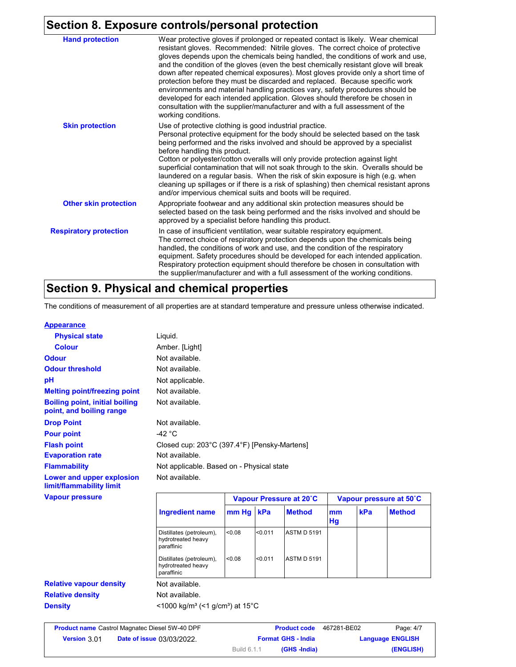### **Section 8. Exposure controls/personal protection**

| <b>Hand protection</b>        | Wear protective gloves if prolonged or repeated contact is likely. Wear chemical<br>resistant gloves. Recommended: Nitrile gloves. The correct choice of protective<br>gloves depends upon the chemicals being handled, the conditions of work and use,<br>and the condition of the gloves (even the best chemically resistant glove will break<br>down after repeated chemical exposures). Most gloves provide only a short time of<br>protection before they must be discarded and replaced. Because specific work<br>environments and material handling practices vary, safety procedures should be<br>developed for each intended application. Gloves should therefore be chosen in<br>consultation with the supplier/manufacturer and with a full assessment of the<br>working conditions. |
|-------------------------------|-------------------------------------------------------------------------------------------------------------------------------------------------------------------------------------------------------------------------------------------------------------------------------------------------------------------------------------------------------------------------------------------------------------------------------------------------------------------------------------------------------------------------------------------------------------------------------------------------------------------------------------------------------------------------------------------------------------------------------------------------------------------------------------------------|
| <b>Skin protection</b>        | Use of protective clothing is good industrial practice.<br>Personal protective equipment for the body should be selected based on the task<br>being performed and the risks involved and should be approved by a specialist<br>before handling this product.<br>Cotton or polyester/cotton overalls will only provide protection against light<br>superficial contamination that will not soak through to the skin. Overalls should be<br>laundered on a regular basis. When the risk of skin exposure is high (e.g. when<br>cleaning up spillages or if there is a risk of splashing) then chemical resistant aprons<br>and/or impervious chemical suits and boots will be required.                                                                                                           |
| <b>Other skin protection</b>  | Appropriate footwear and any additional skin protection measures should be<br>selected based on the task being performed and the risks involved and should be<br>approved by a specialist before handling this product.                                                                                                                                                                                                                                                                                                                                                                                                                                                                                                                                                                         |
| <b>Respiratory protection</b> | In case of insufficient ventilation, wear suitable respiratory equipment.<br>The correct choice of respiratory protection depends upon the chemicals being<br>handled, the conditions of work and use, and the condition of the respiratory<br>equipment. Safety procedures should be developed for each intended application.<br>Respiratory protection equipment should therefore be chosen in consultation with<br>the supplier/manufacturer and with a full assessment of the working conditions.                                                                                                                                                                                                                                                                                           |

## **Section 9. Physical and chemical properties**

The conditions of measurement of all properties are at standard temperature and pressure unless otherwise indicated.

| <b>Appearance</b>                                                 |                                           |                                              |               |
|-------------------------------------------------------------------|-------------------------------------------|----------------------------------------------|---------------|
| <b>Physical state</b>                                             | Liquid.                                   |                                              |               |
| <b>Colour</b>                                                     | Amber. [Light]                            |                                              |               |
| <b>Odour</b>                                                      | Not available.                            |                                              |               |
| <b>Odour threshold</b>                                            | Not available.                            |                                              |               |
| рH                                                                | Not applicable.                           |                                              |               |
| <b>Melting point/freezing point</b>                               | Not available.                            |                                              |               |
| <b>Boiling point, initial boiling</b><br>point, and boiling range | Not available.                            |                                              |               |
| <b>Drop Point</b>                                                 | Not available.                            |                                              |               |
| <b>Pour point</b>                                                 | -42 °C                                    |                                              |               |
| <b>Flash point</b>                                                |                                           | Closed cup: 203°C (397.4°F) [Pensky-Martens] |               |
| <b>Evaporation rate</b>                                           | Not available.                            |                                              |               |
| <b>Flammability</b>                                               | Not applicable. Based on - Physical state |                                              |               |
| Lower and upper explosion<br>limit/flammability limit             | Not available.                            |                                              |               |
| <b>Vapour pressure</b>                                            |                                           | Vapour Pressure at 20°C                      | <b>Vapour</b> |

|                                                              | Vapour Pressure at 20°C |         | Vapour pressure at 50°C |          |     |               |
|--------------------------------------------------------------|-------------------------|---------|-------------------------|----------|-----|---------------|
| <b>Ingredient name</b>                                       | mm Hg                   | kPa     | <b>Method</b>           | mm<br>Hg | kPa | <b>Method</b> |
| Distillates (petroleum),<br>hydrotreated heavy<br>paraffinic | < 0.08                  | < 0.011 | <b>ASTM D 5191</b>      |          |     |               |
| Distillates (petroleum),<br>hydrotreated heavy<br>paraffinic | < 0.08                  | < 0.011 | <b>ASTM D 5191</b>      |          |     |               |

## **Relative vapour density Relative density**

Not available.

**Density** <1000 kg/m<sup>3</sup> (<1 g/cm<sup>3</sup>) at 15°C

| <b>Product name</b> Castrol Magnatec Diesel 5W-40 DPF |                                  |             | <b>Product code</b>       | 467281-BE02 | Page: 4/7               |
|-------------------------------------------------------|----------------------------------|-------------|---------------------------|-------------|-------------------------|
| <b>Version 3.01</b>                                   | <b>Date of issue 03/03/2022.</b> |             | <b>Format GHS - India</b> |             | <b>Language ENGLISH</b> |
|                                                       |                                  | Build 6.1.1 | (GHS -India)              |             | (ENGLISH)               |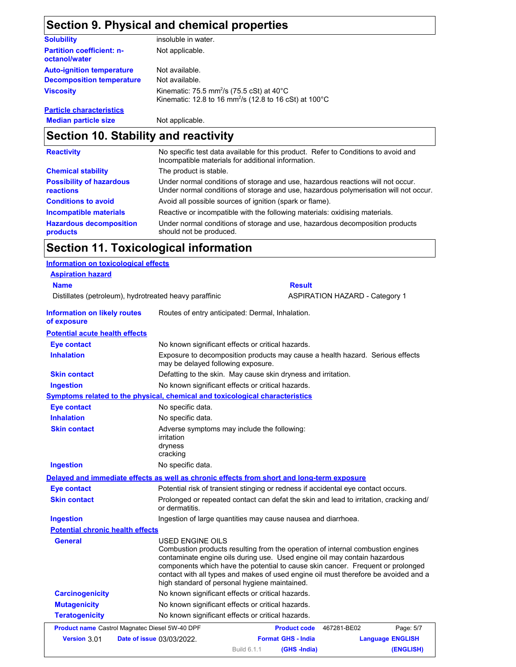## **Section 9. Physical and chemical properties**

| <b>Solubility</b>                                 | insoluble in water.                                                                                                                              |
|---------------------------------------------------|--------------------------------------------------------------------------------------------------------------------------------------------------|
| <b>Partition coefficient: n-</b><br>octanol/water | Not applicable.                                                                                                                                  |
| <b>Auto-ignition temperature</b>                  | Not available.                                                                                                                                   |
| <b>Decomposition temperature</b>                  | Not available.                                                                                                                                   |
| <b>Viscosity</b>                                  | Kinematic: 75.5 mm <sup>2</sup> /s (75.5 cSt) at $40^{\circ}$ C<br>Kinematic: 12.8 to 16 mm <sup>2</sup> /s (12.8 to 16 cSt) at 100 $^{\circ}$ C |
| <b>Particle characteristics</b>                   |                                                                                                                                                  |
| <b>Median particle size</b>                       | Not applicable.                                                                                                                                  |

## **Section 10. Stability and reactivity**

| $\sim$ $\sim$<br>. .                         | .                                                                                                                                                                       |
|----------------------------------------------|-------------------------------------------------------------------------------------------------------------------------------------------------------------------------|
| <b>Hazardous decomposition</b><br>products   | Under normal conditions of storage and use, hazardous decomposition products<br>should not be produced.                                                                 |
| <b>Incompatible materials</b>                | Reactive or incompatible with the following materials: oxidising materials.                                                                                             |
| <b>Conditions to avoid</b>                   | Avoid all possible sources of ignition (spark or flame).                                                                                                                |
| <b>Possibility of hazardous</b><br>reactions | Under normal conditions of storage and use, hazardous reactions will not occur.<br>Under normal conditions of storage and use, hazardous polymerisation will not occur. |
| <b>Chemical stability</b>                    | The product is stable.                                                                                                                                                  |
| <b>Reactivity</b>                            | No specific test data available for this product. Refer to Conditions to avoid and<br>Incompatible materials for additional information.                                |

#### **Section 11. Toxicological information**

| <b>Information on toxicological effects</b>            |                                                                                                                                                                                                                                                                                                                                                                                                             |                           |                                       |
|--------------------------------------------------------|-------------------------------------------------------------------------------------------------------------------------------------------------------------------------------------------------------------------------------------------------------------------------------------------------------------------------------------------------------------------------------------------------------------|---------------------------|---------------------------------------|
| <b>Aspiration hazard</b>                               |                                                                                                                                                                                                                                                                                                                                                                                                             |                           |                                       |
| <b>Name</b>                                            |                                                                                                                                                                                                                                                                                                                                                                                                             | <b>Result</b>             |                                       |
| Distillates (petroleum), hydrotreated heavy paraffinic |                                                                                                                                                                                                                                                                                                                                                                                                             |                           | <b>ASPIRATION HAZARD - Category 1</b> |
| <b>Information on likely routes</b><br>of exposure     | Routes of entry anticipated: Dermal, Inhalation.                                                                                                                                                                                                                                                                                                                                                            |                           |                                       |
| <b>Potential acute health effects</b>                  |                                                                                                                                                                                                                                                                                                                                                                                                             |                           |                                       |
| <b>Eye contact</b>                                     | No known significant effects or critical hazards.                                                                                                                                                                                                                                                                                                                                                           |                           |                                       |
| <b>Inhalation</b>                                      | Exposure to decomposition products may cause a health hazard. Serious effects<br>may be delayed following exposure.                                                                                                                                                                                                                                                                                         |                           |                                       |
| <b>Skin contact</b>                                    | Defatting to the skin. May cause skin dryness and irritation.                                                                                                                                                                                                                                                                                                                                               |                           |                                       |
| <b>Ingestion</b>                                       | No known significant effects or critical hazards.                                                                                                                                                                                                                                                                                                                                                           |                           |                                       |
|                                                        | <b>Symptoms related to the physical, chemical and toxicological characteristics</b>                                                                                                                                                                                                                                                                                                                         |                           |                                       |
| <b>Eye contact</b>                                     | No specific data.                                                                                                                                                                                                                                                                                                                                                                                           |                           |                                       |
| <b>Inhalation</b>                                      | No specific data.                                                                                                                                                                                                                                                                                                                                                                                           |                           |                                       |
| <b>Skin contact</b>                                    | Adverse symptoms may include the following:<br>irritation<br>dryness<br>cracking                                                                                                                                                                                                                                                                                                                            |                           |                                       |
| <b>Ingestion</b>                                       | No specific data.                                                                                                                                                                                                                                                                                                                                                                                           |                           |                                       |
|                                                        | Delayed and immediate effects as well as chronic effects from short and long-term exposure                                                                                                                                                                                                                                                                                                                  |                           |                                       |
| <b>Eye contact</b>                                     | Potential risk of transient stinging or redness if accidental eye contact occurs.                                                                                                                                                                                                                                                                                                                           |                           |                                       |
| <b>Skin contact</b>                                    | Prolonged or repeated contact can defat the skin and lead to irritation, cracking and/<br>or dermatitis.                                                                                                                                                                                                                                                                                                    |                           |                                       |
| <b>Ingestion</b>                                       | Ingestion of large quantities may cause nausea and diarrhoea.                                                                                                                                                                                                                                                                                                                                               |                           |                                       |
| <b>Potential chronic health effects</b>                |                                                                                                                                                                                                                                                                                                                                                                                                             |                           |                                       |
| <b>General</b>                                         | USED ENGINE OILS<br>Combustion products resulting from the operation of internal combustion engines<br>contaminate engine oils during use. Used engine oil may contain hazardous<br>components which have the potential to cause skin cancer. Frequent or prolonged<br>contact with all types and makes of used engine oil must therefore be avoided and a<br>high standard of personal hygiene maintained. |                           |                                       |
| <b>Carcinogenicity</b>                                 | No known significant effects or critical hazards.                                                                                                                                                                                                                                                                                                                                                           |                           |                                       |
| <b>Mutagenicity</b>                                    | No known significant effects or critical hazards.                                                                                                                                                                                                                                                                                                                                                           |                           |                                       |
| <b>Teratogenicity</b>                                  | No known significant effects or critical hazards.                                                                                                                                                                                                                                                                                                                                                           |                           |                                       |
| <b>Product name Castrol Magnatec Diesel 5W-40 DPF</b>  |                                                                                                                                                                                                                                                                                                                                                                                                             | <b>Product code</b>       | 467281-BE02<br>Page: 5/7              |
| <b>Version 3.01</b>                                    | Date of issue 03/03/2022.                                                                                                                                                                                                                                                                                                                                                                                   | <b>Format GHS - India</b> | <b>Language ENGLISH</b>               |

Build 6.1.1

**(GHS -India) (ENGLISH)**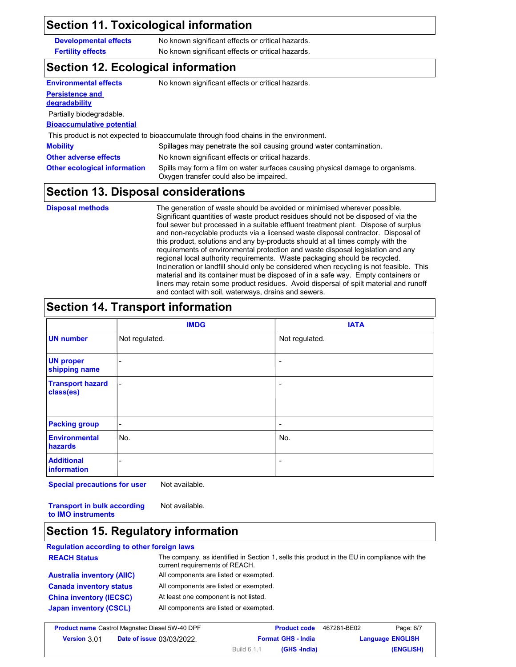### **Section 11. Toxicological information**

**Developmental effects**

No known significant effects or critical hazards.

**Fertility effects** No known significant effects or critical hazards.

### **Section 12. Ecological information**

| <b>Environmental effects</b>            | No known significant effects or critical hazards.                                                                         |
|-----------------------------------------|---------------------------------------------------------------------------------------------------------------------------|
| <b>Persistence and</b><br>degradability |                                                                                                                           |
| Partially biodegradable.                |                                                                                                                           |
| <b>Bioaccumulative potential</b>        |                                                                                                                           |
|                                         | This product is not expected to bioaccumulate through food chains in the environment.                                     |
| <b>Mobility</b>                         | Spillages may penetrate the soil causing ground water contamination.                                                      |
| <b>Other adverse effects</b>            | No known significant effects or critical hazards.                                                                         |
| <b>Other ecological information</b>     | Spills may form a film on water surfaces causing physical damage to organisms.<br>Oxygen transfer could also be impaired. |

### **Section 13. Disposal considerations**

**Disposal methods** The generation of waste should be avoided or minimised wherever possible. Significant quantities of waste product residues should not be disposed of via the foul sewer but processed in a suitable effluent treatment plant. Dispose of surplus and non-recyclable products via a licensed waste disposal contractor. Disposal of this product, solutions and any by-products should at all times comply with the requirements of environmental protection and waste disposal legislation and any regional local authority requirements. Waste packaging should be recycled. Incineration or landfill should only be considered when recycling is not feasible. This material and its container must be disposed of in a safe way. Empty containers or liners may retain some product residues. Avoid dispersal of spilt material and runoff and contact with soil, waterways, drains and sewers.

## **Section 14. Transport information**

|                                        | <b>IMDG</b>              | <b>IATA</b>              |
|----------------------------------------|--------------------------|--------------------------|
| <b>UN number</b>                       | Not regulated.           | Not regulated.           |
| <b>UN proper</b><br>shipping name      | $\blacksquare$           |                          |
| <b>Transport hazard</b><br>class(es)   | $\blacksquare$           |                          |
| <b>Packing group</b>                   | $\overline{\phantom{a}}$ |                          |
| <b>Environmental</b><br><b>hazards</b> | No.                      | No.                      |
| <b>Additional</b><br>information       | $\overline{\phantom{a}}$ | $\overline{\phantom{0}}$ |

**Special precautions for user** Not available.

**Transport in bulk according to IMO instruments** Not available.

## **Section 15. Regulatory information**

#### **Regulation according to other foreign laws** All components are listed or exempted. All components are listed or exempted. At least one component is not listed. All components are listed or exempted. **China inventory (IECSC) Canada inventory status Australia inventory (AIIC) Japan inventory (CSCL) REACH Status** The company, as identified in Section 1, sells this product in the EU in compliance with the current requirements of REACH.

|                     | <b>Product name</b> Castrol Magnatec Diesel 5W-40 DPF |             | <b>Product code</b>       | 467281-BE02 | Page: 6/7               |
|---------------------|-------------------------------------------------------|-------------|---------------------------|-------------|-------------------------|
| <b>Version 3.01</b> | <b>Date of issue 03/03/2022.</b>                      |             | <b>Format GHS - India</b> |             | <b>Language ENGLISH</b> |
|                     |                                                       | Build 6.1.1 | (GHS -India)              |             | (ENGLISH)               |